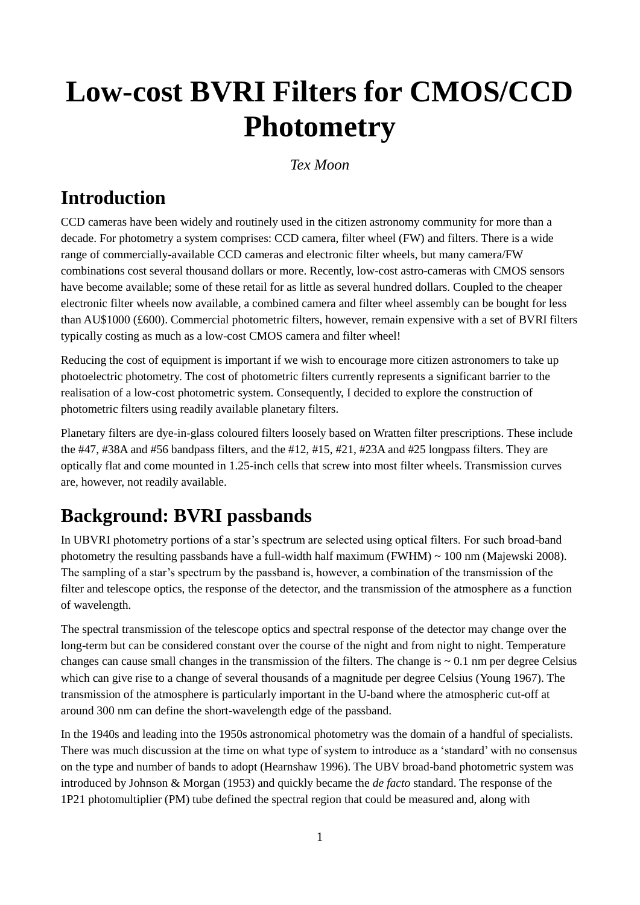# **Low-cost BVRI Filters for CMOS/CCD Photometry**

#### *Tex Moon*

# **Introduction**

CCD cameras have been widely and routinely used in the citizen astronomy community for more than a decade. For photometry a system comprises: CCD camera, filter wheel (FW) and filters. There is a wide range of commercially-available CCD cameras and electronic filter wheels, but many camera/FW combinations cost several thousand dollars or more. Recently, low-cost astro-cameras with CMOS sensors have become available; some of these retail for as little as several hundred dollars. Coupled to the cheaper electronic filter wheels now available, a combined camera and filter wheel assembly can be bought for less than AU\$1000 (£600). Commercial photometric filters, however, remain expensive with a set of BVRI filters typically costing as much as a low-cost CMOS camera and filter wheel!

Reducing the cost of equipment is important if we wish to encourage more citizen astronomers to take up photoelectric photometry. The cost of photometric filters currently represents a significant barrier to the realisation of a low-cost photometric system. Consequently, I decided to explore the construction of photometric filters using readily available planetary filters.

Planetary filters are dye-in-glass coloured filters loosely based on Wratten filter prescriptions. These include the #47, #38A and #56 bandpass filters, and the #12, #15, #21, #23A and #25 longpass filters. They are optically flat and come mounted in 1.25-inch cells that screw into most filter wheels. Transmission curves are, however, not readily available.

# **Background: BVRI passbands**

In UBVRI photometry portions of a star's spectrum are selected using optical filters. For such broad-band photometry the resulting passbands have a full-width half maximum (FWHM) ~ 100 nm (Majewski 2008). The sampling of a star's spectrum by the passband is, however, a combination of the transmission of the filter and telescope optics, the response of the detector, and the transmission of the atmosphere as a function of wavelength.

The spectral transmission of the telescope optics and spectral response of the detector may change over the long-term but can be considered constant over the course of the night and from night to night. Temperature changes can cause small changes in the transmission of the filters. The change is  $\sim 0.1$  nm per degree Celsius which can give rise to a change of several thousands of a magnitude per degree Celsius (Young 1967). The transmission of the atmosphere is particularly important in the U-band where the atmospheric cut-off at around 300 nm can define the short-wavelength edge of the passband.

In the 1940s and leading into the 1950s astronomical photometry was the domain of a handful of specialists. There was much discussion at the time on what type of system to introduce as a 'standard' with no consensus on the type and number of bands to adopt (Hearnshaw 1996). The UBV broad-band photometric system was introduced by Johnson & Morgan (1953) and quickly became the *de facto* standard. The response of the 1P21 photomultiplier (PM) tube defined the spectral region that could be measured and, along with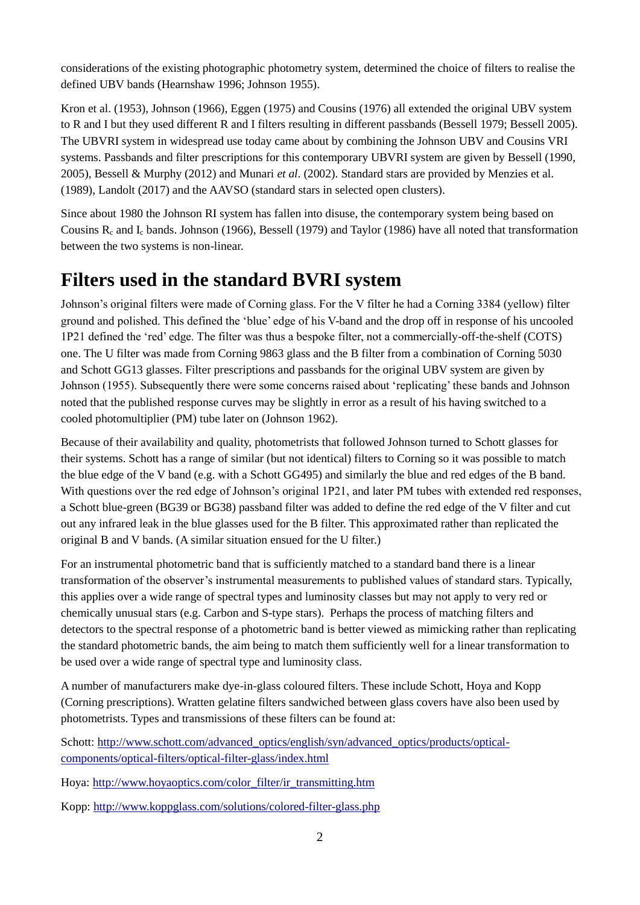considerations of the existing photographic photometry system, determined the choice of filters to realise the defined UBV bands (Hearnshaw 1996; Johnson 1955).

Kron et al. (1953), Johnson (1966), Eggen (1975) and Cousins (1976) all extended the original UBV system to R and I but they used different R and I filters resulting in different passbands (Bessell 1979; Bessell 2005). The UBVRI system in widespread use today came about by combining the Johnson UBV and Cousins VRI systems. Passbands and filter prescriptions for this contemporary UBVRI system are given by Bessell (1990, 2005), Bessell & Murphy (2012) and Munari *et al*. (2002). Standard stars are provided by Menzies et al. (1989), Landolt (2017) and the AAVSO (standard stars in selected open clusters).

Since about 1980 the Johnson RI system has fallen into disuse, the contemporary system being based on Cousins  $R_c$  and  $I_c$  bands. Johnson (1966), Bessell (1979) and Taylor (1986) have all noted that transformation between the two systems is non-linear.

### **Filters used in the standard BVRI system**

Johnson's original filters were made of Corning glass. For the V filter he had a Corning 3384 (yellow) filter ground and polished. This defined the 'blue' edge of his V-band and the drop off in response of his uncooled 1P21 defined the 'red' edge. The filter was thus a bespoke filter, not a commercially-off-the-shelf (COTS) one. The U filter was made from Corning 9863 glass and the B filter from a combination of Corning 5030 and Schott GG13 glasses. Filter prescriptions and passbands for the original UBV system are given by Johnson (1955). Subsequently there were some concerns raised about 'replicating' these bands and Johnson noted that the published response curves may be slightly in error as a result of his having switched to a cooled photomultiplier (PM) tube later on (Johnson 1962).

Because of their availability and quality, photometrists that followed Johnson turned to Schott glasses for their systems. Schott has a range of similar (but not identical) filters to Corning so it was possible to match the blue edge of the V band (e.g. with a Schott GG495) and similarly the blue and red edges of the B band. With questions over the red edge of Johnson's original 1P21, and later PM tubes with extended red responses, a Schott blue-green (BG39 or BG38) passband filter was added to define the red edge of the V filter and cut out any infrared leak in the blue glasses used for the B filter. This approximated rather than replicated the original B and V bands. (A similar situation ensued for the U filter.)

For an instrumental photometric band that is sufficiently matched to a standard band there is a linear transformation of the observer's instrumental measurements to published values of standard stars. Typically, this applies over a wide range of spectral types and luminosity classes but may not apply to very red or chemically unusual stars (e.g. Carbon and S-type stars). Perhaps the process of matching filters and detectors to the spectral response of a photometric band is better viewed as mimicking rather than replicating the standard photometric bands, the aim being to match them sufficiently well for a linear transformation to be used over a wide range of spectral type and luminosity class.

A number of manufacturers make dye-in-glass coloured filters. These include Schott, Hoya and Kopp (Corning prescriptions). Wratten gelatine filters sandwiched between glass covers have also been used by photometrists. Types and transmissions of these filters can be found at:

Schott: [http://www.schott.com/advanced\\_optics/english/syn/advanced\\_optics/products/optical](http://www.schott.com/advanced_optics/english/syn/advanced_optics/products/optical-components/optical-filters/optical-filter-glass/index.html)[components/optical-filters/optical-filter-glass/index.html](http://www.schott.com/advanced_optics/english/syn/advanced_optics/products/optical-components/optical-filters/optical-filter-glass/index.html)

Hoya: [http://www.hoyaoptics.com/color\\_filter/ir\\_transmitting.htm](http://www.hoyaoptics.com/color_filter/ir_transmitting.htm)

Kopp:<http://www.koppglass.com/solutions/colored-filter-glass.php>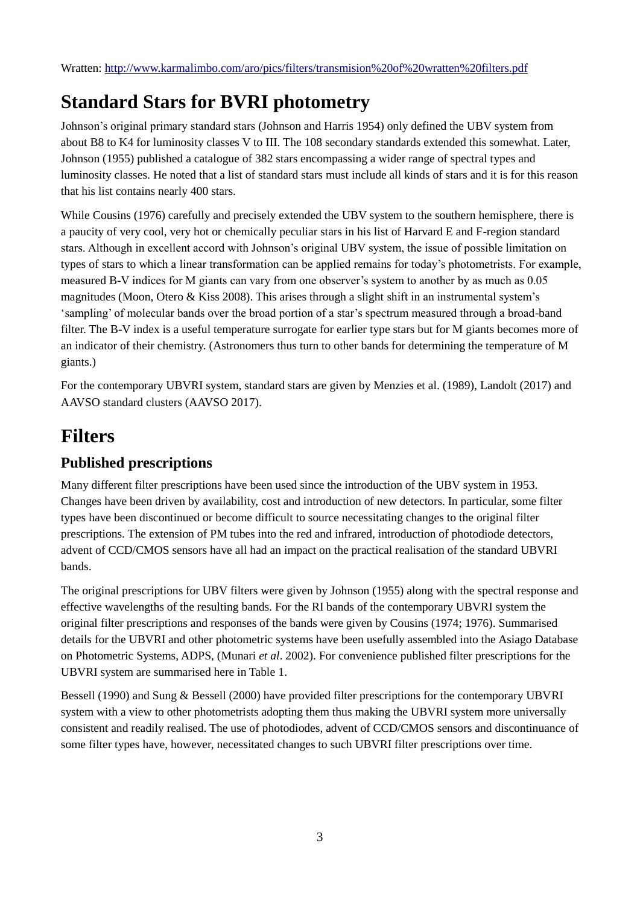# **Standard Stars for BVRI photometry**

Johnson's original primary standard stars (Johnson and Harris 1954) only defined the UBV system from about B8 to K4 for luminosity classes V to III. The 108 secondary standards extended this somewhat. Later, Johnson (1955) published a catalogue of 382 stars encompassing a wider range of spectral types and luminosity classes. He noted that a list of standard stars must include all kinds of stars and it is for this reason that his list contains nearly 400 stars.

While Cousins (1976) carefully and precisely extended the UBV system to the southern hemisphere, there is a paucity of very cool, very hot or chemically peculiar stars in his list of Harvard E and F-region standard stars. Although in excellent accord with Johnson's original UBV system, the issue of possible limitation on types of stars to which a linear transformation can be applied remains for today's photometrists. For example, measured B-V indices for M giants can vary from one observer's system to another by as much as 0.05 magnitudes (Moon, Otero & Kiss 2008). This arises through a slight shift in an instrumental system's 'sampling' of molecular bands over the broad portion of a star's spectrum measured through a broad-band filter. The B-V index is a useful temperature surrogate for earlier type stars but for M giants becomes more of an indicator of their chemistry. (Astronomers thus turn to other bands for determining the temperature of M giants.)

For the contemporary UBVRI system, standard stars are given by Menzies et al. (1989), Landolt (2017) and AAVSO standard clusters (AAVSO 2017).

# **Filters**

### **Published prescriptions**

Many different filter prescriptions have been used since the introduction of the UBV system in 1953. Changes have been driven by availability, cost and introduction of new detectors. In particular, some filter types have been discontinued or become difficult to source necessitating changes to the original filter prescriptions. The extension of PM tubes into the red and infrared, introduction of photodiode detectors, advent of CCD/CMOS sensors have all had an impact on the practical realisation of the standard UBVRI bands.

The original prescriptions for UBV filters were given by Johnson (1955) along with the spectral response and effective wavelengths of the resulting bands. For the RI bands of the contemporary UBVRI system the original filter prescriptions and responses of the bands were given by Cousins (1974; 1976). Summarised details for the UBVRI and other photometric systems have been usefully assembled into the Asiago Database on Photometric Systems, ADPS, (Munari *et al*. 2002). For convenience published filter prescriptions for the UBVRI system are summarised here in Table 1.

Bessell (1990) and Sung & Bessell (2000) have provided filter prescriptions for the contemporary UBVRI system with a view to other photometrists adopting them thus making the UBVRI system more universally consistent and readily realised. The use of photodiodes, advent of CCD/CMOS sensors and discontinuance of some filter types have, however, necessitated changes to such UBVRI filter prescriptions over time.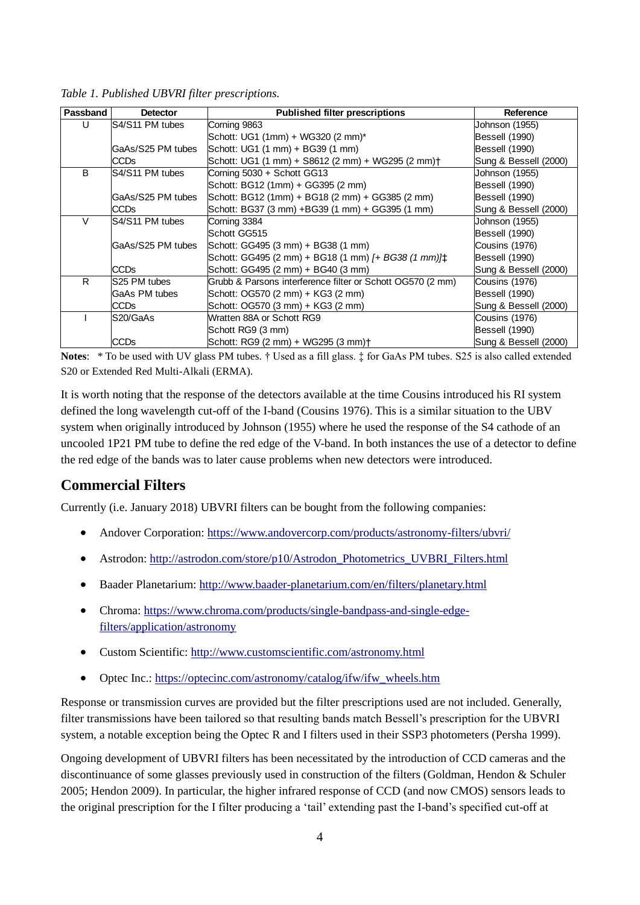| Passband | <b>Detector</b>   | <b>Published filter prescriptions</b>                         | Reference             |
|----------|-------------------|---------------------------------------------------------------|-----------------------|
| U        | S4/S11 PM tubes   | Corning 9863                                                  | Johnson (1955)        |
|          |                   | Schott: UG1 (1mm) + WG320 (2 mm)*                             | Bessell (1990)        |
|          | GaAs/S25 PM tubes | Schott: UG1 (1 mm) + BG39 (1 mm)                              | Bessell (1990)        |
|          | <b>CCDs</b>       | Schott: UG1 (1 mm) + S8612 (2 mm) + WG295 (2 mm) +            | Sung & Bessell (2000) |
| B        | S4/S11 PM tubes   | Corning 5030 + Schott GG13                                    | Johnson (1955)        |
|          |                   | Schott: BG12 (1mm) + GG395 (2 mm)                             | Bessell (1990)        |
|          | GaAs/S25 PM tubes | Schott: BG12 (1mm) + BG18 (2 mm) + GG385 (2 mm)               | Bessell (1990)        |
|          | CCD <sub>s</sub>  | Schott: BG37 (3 mm) +BG39 (1 mm) + GG395 (1 mm)               | Sung & Bessell (2000) |
| V        | S4/S11 PM tubes   | Corning 3384                                                  | Johnson (1955)        |
|          |                   | Schott GG515                                                  | Bessell (1990)        |
|          | GaAs/S25 PM tubes | Schott: GG495 (3 mm) + BG38 (1 mm)                            | Cousins (1976)        |
|          |                   | Schott: GG495 (2 mm) + BG18 (1 mm) [+ BG38 (1 mm)] $\uparrow$ | Bessell (1990)        |
|          | CCD <sub>S</sub>  | Schott: GG495 (2 mm) + BG40 (3 mm)                            | Sung & Bessell (2000) |
| R        | S25 PM tubes      | Grubb & Parsons interference filter or Schott OG570 (2 mm)    | Cousins (1976)        |
|          | GaAs PM tubes     | Schott: OG570 (2 mm) + KG3 (2 mm)                             | Bessell (1990)        |
|          | <b>CCDs</b>       | Schott: OG570 (3 mm) + KG3 (2 mm)                             | Sung & Bessell (2000) |
|          | S20/GaAs          | Wratten 88A or Schott RG9                                     | Cousins (1976)        |
|          |                   | Schott RG9 (3 mm)                                             | Bessell (1990)        |
|          | <b>CCDs</b>       | Schott: RG9 (2 mm) + WG295 (3 mm) +                           | Sung & Bessell (2000) |

*Table 1. Published UBVRI filter prescriptions.*

**Notes**: \* To be used with UV glass PM tubes. † Used as a fill glass. ‡ for GaAs PM tubes. S25 is also called extended S20 or Extended Red Multi-Alkali (ERMA).

It is worth noting that the response of the detectors available at the time Cousins introduced his RI system defined the long wavelength cut-off of the I-band (Cousins 1976). This is a similar situation to the UBV system when originally introduced by Johnson (1955) where he used the response of the S4 cathode of an uncooled 1P21 PM tube to define the red edge of the V-band. In both instances the use of a detector to define the red edge of the bands was to later cause problems when new detectors were introduced.

#### **Commercial Filters**

Currently (i.e. January 2018) UBVRI filters can be bought from the following companies:

- Andover Corporation:<https://www.andovercorp.com/products/astronomy-filters/ubvri/>
- Astrodon: [http://astrodon.com/store/p10/Astrodon\\_Photometrics\\_UVBRI\\_Filters.html](http://astrodon.com/store/p10/Astrodon_Photometrics_UVBRI_Filters.html)
- Baader Planetarium:<http://www.baader-planetarium.com/en/filters/planetary.html>
- Chroma: [https://www.chroma.com/products/single-bandpass-and-single-edge](https://www.chroma.com/products/single-bandpass-and-single-edge-filters/application/astronomy)[filters/application/astronomy](https://www.chroma.com/products/single-bandpass-and-single-edge-filters/application/astronomy)
- Custom Scientific:<http://www.customscientific.com/astronomy.html>
- Optec Inc.: [https://optecinc.com/astronomy/catalog/ifw/ifw\\_wheels.htm](https://optecinc.com/astronomy/catalog/ifw/ifw_wheels.htm)

Response or transmission curves are provided but the filter prescriptions used are not included. Generally, filter transmissions have been tailored so that resulting bands match Bessell's prescription for the UBVRI system, a notable exception being the Optec R and I filters used in their SSP3 photometers (Persha 1999).

Ongoing development of UBVRI filters has been necessitated by the introduction of CCD cameras and the discontinuance of some glasses previously used in construction of the filters (Goldman, Hendon & Schuler 2005; Hendon 2009). In particular, the higher infrared response of CCD (and now CMOS) sensors leads to the original prescription for the I filter producing a 'tail' extending past the I-band's specified cut-off at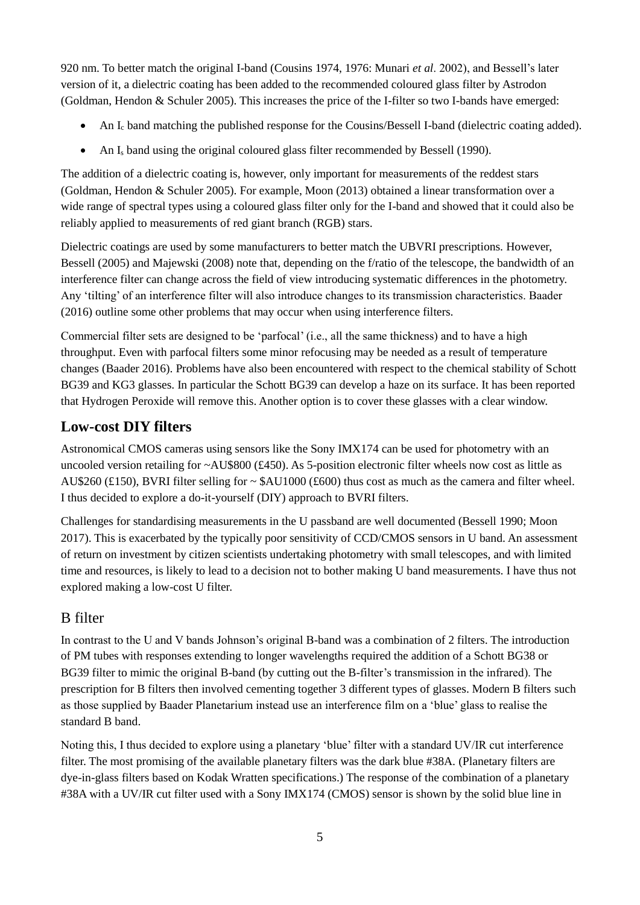920 nm. To better match the original I-band (Cousins 1974, 1976: Munari *et al*. 2002), and Bessell's later version of it, a dielectric coating has been added to the recommended coloured glass filter by Astrodon (Goldman, Hendon & Schuler 2005). This increases the price of the I-filter so two I-bands have emerged:

- An L<sub>i</sub> band matching the published response for the Cousins/Bessell I-band (dielectric coating added).
- An I<sub>s</sub> band using the original coloured glass filter recommended by Bessell (1990).

The addition of a dielectric coating is, however, only important for measurements of the reddest stars (Goldman, Hendon & Schuler 2005). For example, Moon (2013) obtained a linear transformation over a wide range of spectral types using a coloured glass filter only for the I-band and showed that it could also be reliably applied to measurements of red giant branch (RGB) stars.

Dielectric coatings are used by some manufacturers to better match the UBVRI prescriptions. However, Bessell (2005) and Majewski (2008) note that, depending on the f/ratio of the telescope, the bandwidth of an interference filter can change across the field of view introducing systematic differences in the photometry. Any 'tilting' of an interference filter will also introduce changes to its transmission characteristics. Baader (2016) outline some other problems that may occur when using interference filters.

Commercial filter sets are designed to be 'parfocal' (i.e., all the same thickness) and to have a high throughput. Even with parfocal filters some minor refocusing may be needed as a result of temperature changes (Baader 2016). Problems have also been encountered with respect to the chemical stability of Schott BG39 and KG3 glasses. In particular the Schott BG39 can develop a haze on its surface. It has been reported that Hydrogen Peroxide will remove this. Another option is to cover these glasses with a clear window.

### **Low-cost DIY filters**

Astronomical CMOS cameras using sensors like the Sony IMX174 can be used for photometry with an uncooled version retailing for ~AU\$800 (£450). As 5-position electronic filter wheels now cost as little as AU\$260 (£150), BVRI filter selling for ~ \$AU1000 (£600) thus cost as much as the camera and filter wheel. I thus decided to explore a do-it-yourself (DIY) approach to BVRI filters.

Challenges for standardising measurements in the U passband are well documented (Bessell 1990; Moon 2017). This is exacerbated by the typically poor sensitivity of CCD/CMOS sensors in U band. An assessment of return on investment by citizen scientists undertaking photometry with small telescopes, and with limited time and resources, is likely to lead to a decision not to bother making U band measurements. I have thus not explored making a low-cost U filter.

### B filter

In contrast to the U and V bands Johnson's original B-band was a combination of 2 filters. The introduction of PM tubes with responses extending to longer wavelengths required the addition of a Schott BG38 or BG39 filter to mimic the original B-band (by cutting out the B-filter's transmission in the infrared). The prescription for B filters then involved cementing together 3 different types of glasses. Modern B filters such as those supplied by Baader Planetarium instead use an interference film on a 'blue' glass to realise the standard B band.

Noting this, I thus decided to explore using a planetary 'blue' filter with a standard UV/IR cut interference filter. The most promising of the available planetary filters was the dark blue #38A. (Planetary filters are dye-in-glass filters based on Kodak Wratten specifications.) The response of the combination of a planetary #38A with a UV/IR cut filter used with a Sony IMX174 (CMOS) sensor is shown by the solid blue line in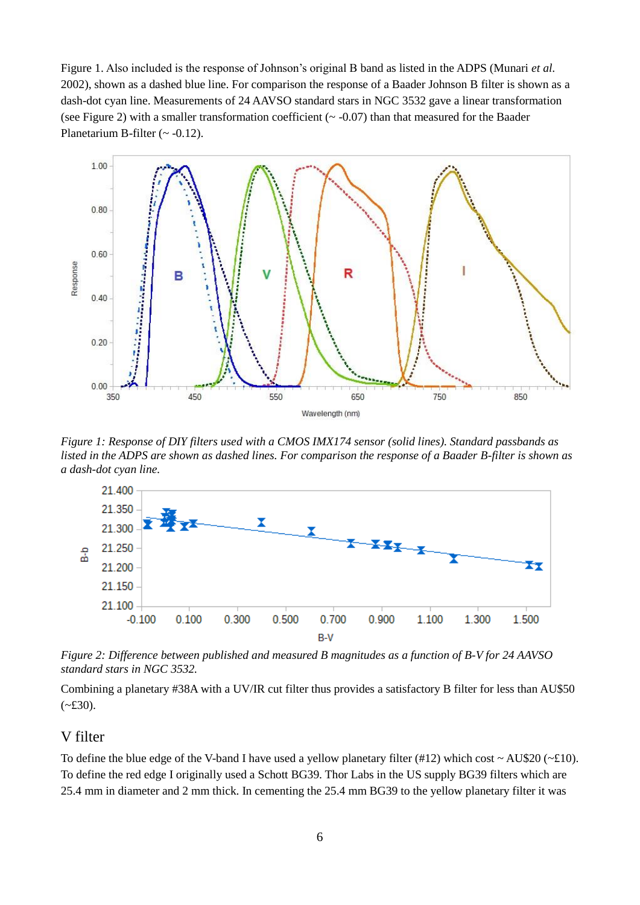Figure 1. Also included is the response of Johnson's original B band as listed in the ADPS (Munari *et al*. 2002), shown as a dashed blue line. For comparison the response of a Baader Johnson B filter is shown as a dash-dot cyan line. Measurements of 24 AAVSO standard stars in NGC 3532 gave a linear transformation (see Figure 2) with a smaller transformation coefficient  $({\sim}$  -0.07) than that measured for the Baader Planetarium B-filter  $({\sim -0.12})$ .



*Figure 1: Response of DIY filters used with a CMOS IMX174 sensor (solid lines). Standard passbands as listed in the ADPS are shown as dashed lines. For comparison the response of a Baader B-filter is shown as a dash-dot cyan line.*



*Figure 2: Difference between published and measured B magnitudes as a function of B-V for 24 AAVSO standard stars in NGC 3532.*

Combining a planetary #38A with a UV/IR cut filter thus provides a satisfactory B filter for less than AU\$50  $(-£30)$ .

#### V filter

To define the blue edge of the V-band I have used a yellow planetary filter (#12) which cost  $\sim$  AU\$20 ( $\sim$ £10). To define the red edge I originally used a Schott BG39. Thor Labs in the US supply BG39 filters which are 25.4 mm in diameter and 2 mm thick. In cementing the 25.4 mm BG39 to the yellow planetary filter it was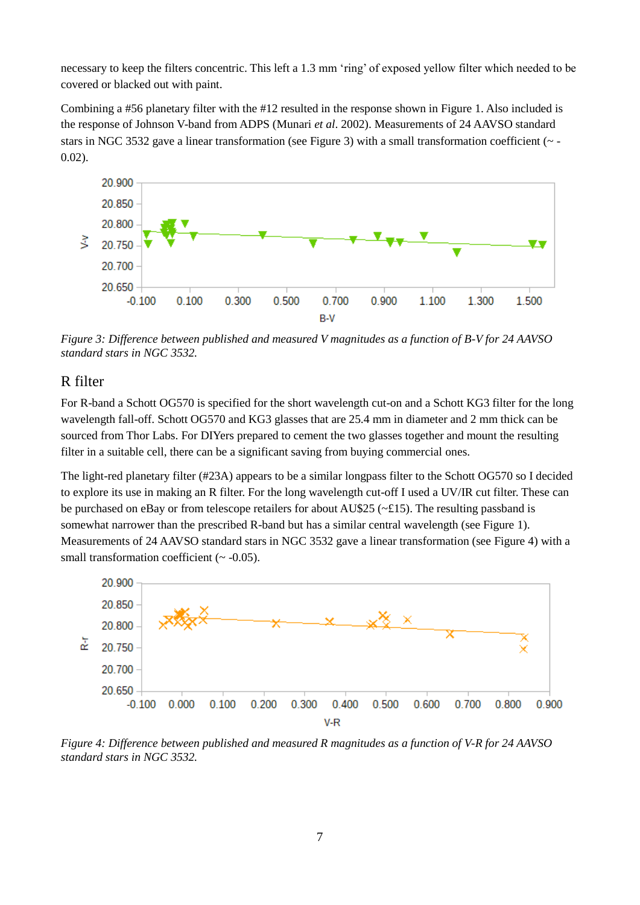necessary to keep the filters concentric. This left a 1.3 mm 'ring' of exposed yellow filter which needed to be covered or blacked out with paint.

Combining a #56 planetary filter with the #12 resulted in the response shown in Figure 1. Also included is the response of Johnson V-band from ADPS (Munari *et al*. 2002). Measurements of 24 AAVSO standard stars in NGC 3532 gave a linear transformation (see Figure 3) with a small transformation coefficient (~ - 0.02).



*Figure 3: Difference between published and measured V magnitudes as a function of B-V for 24 AAVSO standard stars in NGC 3532.*

#### R filter

For R-band a Schott OG570 is specified for the short wavelength cut-on and a Schott KG3 filter for the long wavelength fall-off. Schott OG570 and KG3 glasses that are 25.4 mm in diameter and 2 mm thick can be sourced from Thor Labs. For DIYers prepared to cement the two glasses together and mount the resulting filter in a suitable cell, there can be a significant saving from buying commercial ones.

The light-red planetary filter (#23A) appears to be a similar longpass filter to the Schott OG570 so I decided to explore its use in making an R filter. For the long wavelength cut-off I used a UV/IR cut filter. These can be purchased on eBay or from telescope retailers for about AU\$25 ( $\sim$ £15). The resulting passband is somewhat narrower than the prescribed R-band but has a similar central wavelength (see Figure 1). Measurements of 24 AAVSO standard stars in NGC 3532 gave a linear transformation (see Figure 4) with a small transformation coefficient  $(\sim -0.05)$ .



*Figure 4: Difference between published and measured R magnitudes as a function of V-R for 24 AAVSO standard stars in NGC 3532.*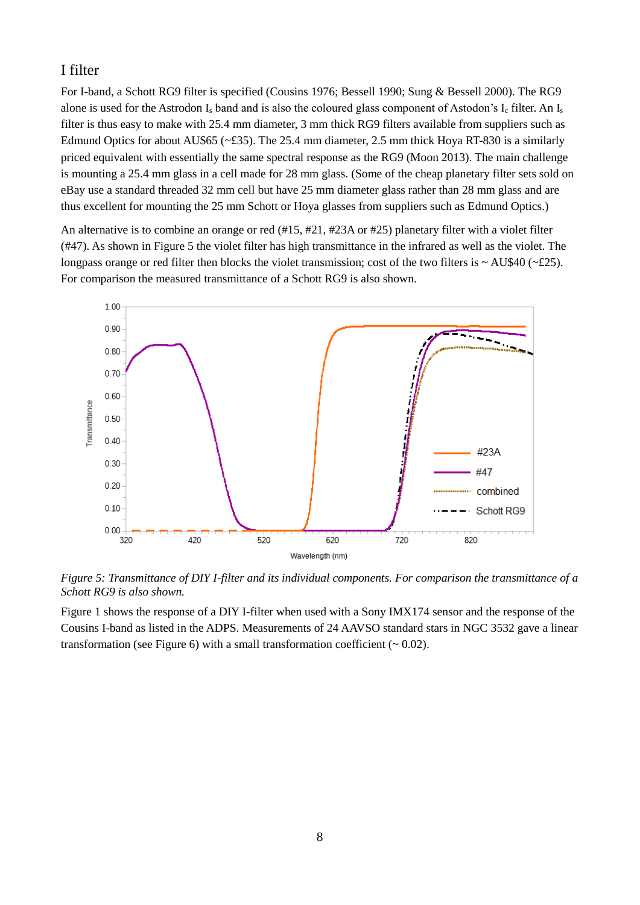#### I filter

For I-band, a Schott RG9 filter is specified (Cousins 1976; Bessell 1990; Sung & Bessell 2000). The RG9 alone is used for the Astrodon I<sub>s</sub> band and is also the coloured glass component of Astodon's I<sub>c</sub> filter. An I<sub>s</sub> filter is thus easy to make with 25.4 mm diameter, 3 mm thick RG9 filters available from suppliers such as Edmund Optics for about AU\$65 (~£35). The 25.4 mm diameter, 2.5 mm thick Hoya RT-830 is a similarly priced equivalent with essentially the same spectral response as the RG9 (Moon 2013). The main challenge is mounting a 25.4 mm glass in a cell made for 28 mm glass. (Some of the cheap planetary filter sets sold on eBay use a standard threaded 32 mm cell but have 25 mm diameter glass rather than 28 mm glass and are thus excellent for mounting the 25 mm Schott or Hoya glasses from suppliers such as Edmund Optics.)

An alternative is to combine an orange or red (#15, #21, #23A or #25) planetary filter with a violet filter (#47). As shown in Figure 5 the violet filter has high transmittance in the infrared as well as the violet. The longpass orange or red filter then blocks the violet transmission; cost of the two filters is  $\sim$  AU\$40 ( $\sim$ £25). For comparison the measured transmittance of a Schott RG9 is also shown.



*Figure 5: Transmittance of DIY I-filter and its individual components. For comparison the transmittance of a Schott RG9 is also shown.*

Figure 1 shows the response of a DIY I-filter when used with a Sony IMX174 sensor and the response of the Cousins I-band as listed in the ADPS. Measurements of 24 AAVSO standard stars in NGC 3532 gave a linear transformation (see Figure 6) with a small transformation coefficient  $($   $\sim$  0.02).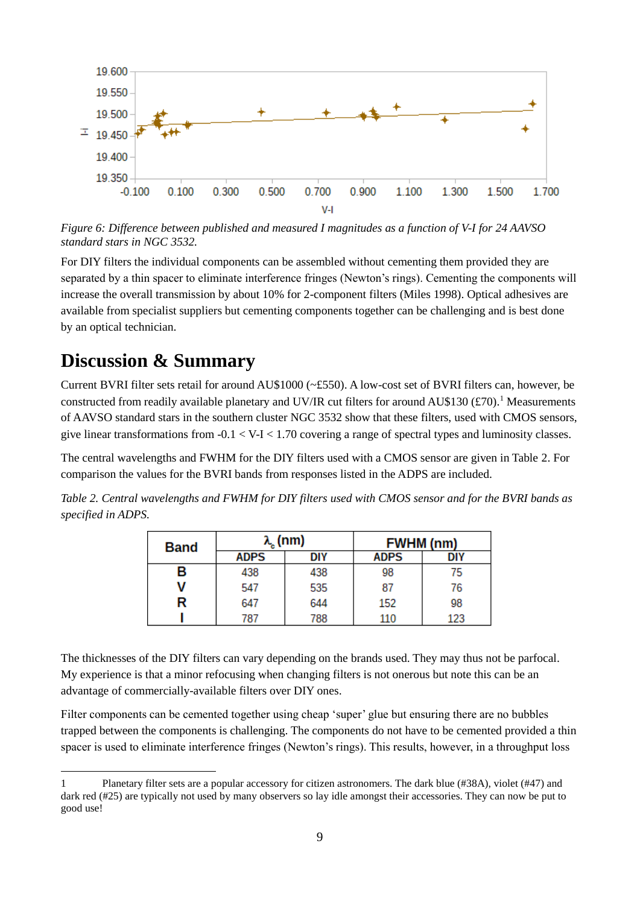

*Figure 6: Difference between published and measured I magnitudes as a function of V-I for 24 AAVSO standard stars in NGC 3532.*

For DIY filters the individual components can be assembled without cementing them provided they are separated by a thin spacer to eliminate interference fringes (Newton's rings). Cementing the components will increase the overall transmission by about 10% for 2-component filters (Miles 1998). Optical adhesives are available from specialist suppliers but cementing components together can be challenging and is best done by an optical technician.

### **Discussion & Summary**

1

Current BVRI filter sets retail for around AU\$1000 (~£550). A low-cost set of BVRI filters can, however, be constructed from readily available planetary and UV/IR cut filters for around AU\$130  $(\text{\textsterling}70)$ .<sup>1</sup> Measurements of AAVSO standard stars in the southern cluster NGC 3532 show that these filters, used with CMOS sensors, give linear transformations from  $-0.1 < V-I < 1.70$  covering a range of spectral types and luminosity classes.

The central wavelengths and FWHM for the DIY filters used with a CMOS sensor are given in Table 2. For comparison the values for the BVRI bands from responses listed in the ADPS are included.

*Table 2. Central wavelengths and FWHM for DIY filters used with CMOS sensor and for the BVRI bands as specified in ADPS.*

| <b>Band</b> | $\lambda_{\rm a}$ (nm) |     | <b>FWHM</b> (nm) |     |
|-------------|------------------------|-----|------------------|-----|
|             | <b>ADPS</b>            | DIY | <b>ADPS</b>      | DIY |
| в           | 438                    | 438 | 98               | 75  |
| v           | 547                    | 535 | 87               | 76  |
| R           | 647                    | 644 | 152              | 98  |
|             | 787                    | 788 | 110              | 123 |

The thicknesses of the DIY filters can vary depending on the brands used. They may thus not be parfocal. My experience is that a minor refocusing when changing filters is not onerous but note this can be an advantage of commercially-available filters over DIY ones.

Filter components can be cemented together using cheap 'super' glue but ensuring there are no bubbles trapped between the components is challenging. The components do not have to be cemented provided a thin spacer is used to eliminate interference fringes (Newton's rings). This results, however, in a throughput loss

<sup>1</sup> Planetary filter sets are a popular accessory for citizen astronomers. The dark blue (#38A), violet (#47) and dark red (#25) are typically not used by many observers so lay idle amongst their accessories. They can now be put to good use!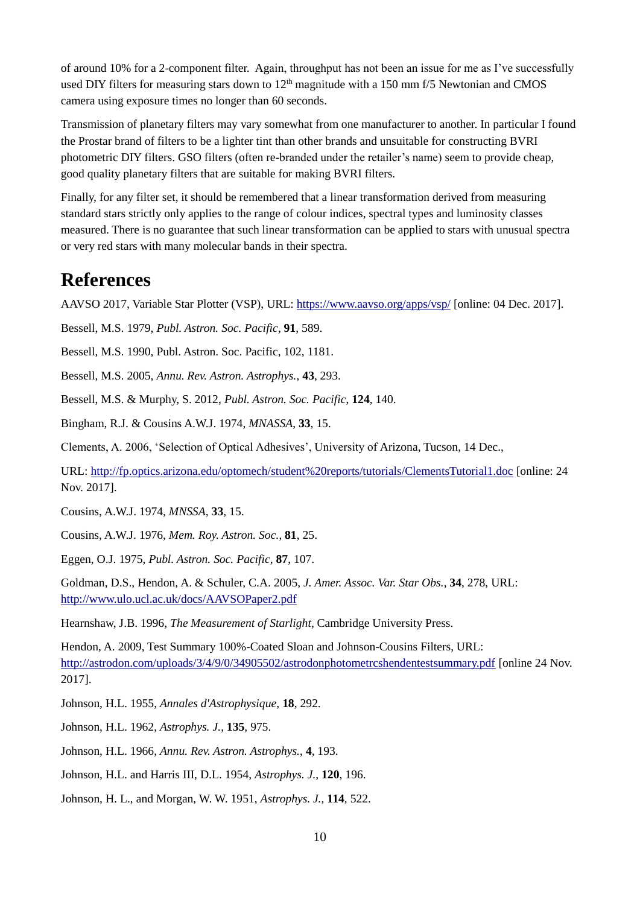of around 10% for a 2-component filter. Again, throughput has not been an issue for me as I've successfully used DIY filters for measuring stars down to  $12<sup>th</sup>$  magnitude with a 150 mm f/5 Newtonian and CMOS camera using exposure times no longer than 60 seconds.

Transmission of planetary filters may vary somewhat from one manufacturer to another. In particular I found the Prostar brand of filters to be a lighter tint than other brands and unsuitable for constructing BVRI photometric DIY filters. GSO filters (often re-branded under the retailer's name) seem to provide cheap, good quality planetary filters that are suitable for making BVRI filters.

Finally, for any filter set, it should be remembered that a linear transformation derived from measuring standard stars strictly only applies to the range of colour indices, spectral types and luminosity classes measured. There is no guarantee that such linear transformation can be applied to stars with unusual spectra or very red stars with many molecular bands in their spectra.

### **References**

AAVSO 2017, Variable Star Plotter (VSP), URL:<https://www.aavso.org/apps/vsp/> [online: 04 Dec. 2017].

Bessell, M.S. 1979, *Publ. Astron. Soc. Pacific*, **91**, 589.

Bessell, M.S. 1990, Publ. Astron. Soc. Pacific, 102, 1181.

Bessell, M.S. 2005, *Annu. Rev. Astron. Astrophys.*, **43**, 293.

Bessell, M.S. & Murphy, S. 2012, *Publ. Astron. Soc. Pacific*, **124**, 140.

Bingham, R.J. & Cousins A.W.J. 1974, *MNASSA*, **33**, 15.

Clements, A. 2006, 'Selection of Optical Adhesives', University of Arizona, Tucson, 14 Dec.,

URL:<http://fp.optics.arizona.edu/optomech/student%20reports/tutorials/ClementsTutorial1.doc> [online: 24 Nov. 2017].

Cousins, A.W.J. 1974, *MNSSA*, **33**, 15.

Cousins, A.W.J. 1976, *Mem. Roy. Astron. Soc.*, **81**, 25.

Eggen, O.J. 1975, *Publ. Astron. Soc. Pacific*, **87**, 107.

Goldman, D.S., Hendon, A. & Schuler, C.A. 2005, *J. Amer. Assoc. Var. Star Obs.*, **34**, 278, URL: <http://www.ulo.ucl.ac.uk/docs/AAVSOPaper2.pdf>

Hearnshaw, J.B. 1996, *The Measurement of Starlight*, Cambridge University Press.

Hendon, A. 2009, Test Summary 100%-Coated Sloan and Johnson-Cousins Filters, URL: <http://astrodon.com/uploads/3/4/9/0/34905502/astrodonphotometrcshendentestsummary.pdf> [online 24 Nov. 2017].

Johnson, H.L. 1955, *Annales d'Astrophysique*, **18**, 292.

Johnson, H.L. 1962, *Astrophys. J.*, **135**, 975.

- Johnson, H.L. 1966, *Annu. Rev. Astron. Astrophys.*, **4**, 193.
- Johnson, H.L. and Harris III, D.L. 1954, *Astrophys. J.*, **120**, 196.
- Johnson, H. L., and Morgan, W. W. 1951, *Astrophys. J.*, **114**, 522.